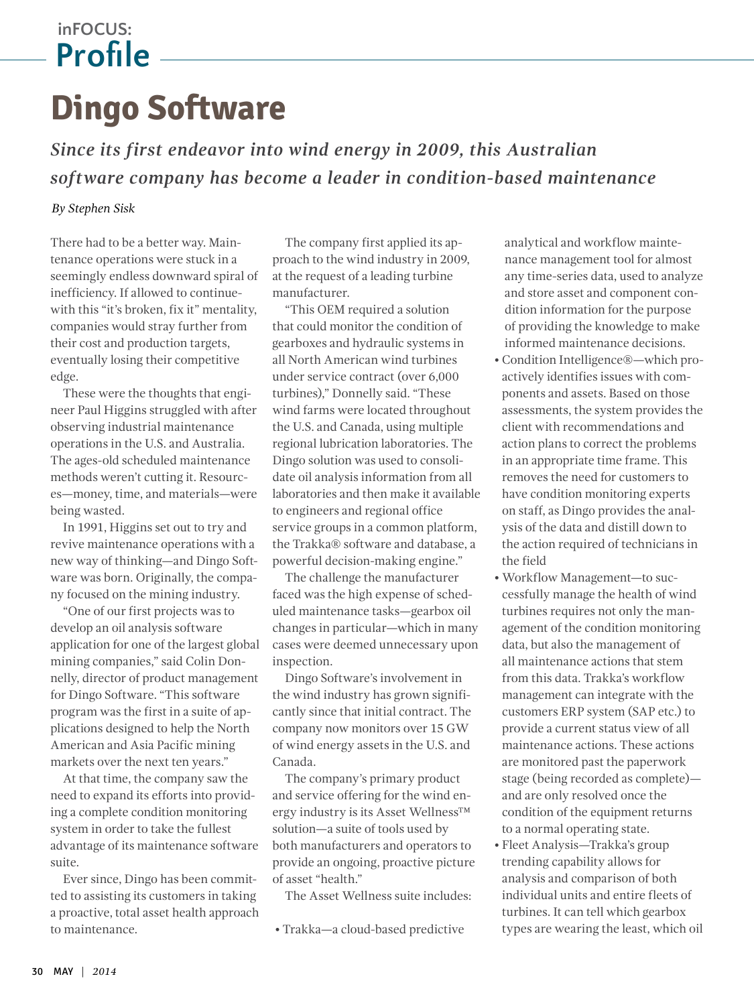## **inFOCUS: Profile**

## **Dingo Software**

*Since its first endeavor into wind energy in 2009, this Australian software company has become a leader in condition-based maintenance*

## *By Stephen Sisk*

There had to be a better way. Maintenance operations were stuck in a seemingly endless downward spiral of inefficiency. If allowed to continuewith this "it's broken, fix it" mentality, companies would stray further from their cost and production targets, eventually losing their competitive edge.

These were the thoughts that engineer Paul Higgins struggled with after observing industrial maintenance operations in the U.S. and Australia. The ages-old scheduled maintenance methods weren't cutting it. Resources—money, time, and materials—were being wasted.

In 1991, Higgins set out to try and revive maintenance operations with a new way of thinking—and Dingo Software was born. Originally, the company focused on the mining industry.

"One of our first projects was to develop an oil analysis software application for one of the largest global mining companies," said Colin Donnelly, director of product management for Dingo Software. "This software program was the first in a suite of applications designed to help the North American and Asia Pacific mining markets over the next ten years."

At that time, the company saw the need to expand its efforts into providing a complete condition monitoring system in order to take the fullest advantage of its maintenance software suite.

Ever since, Dingo has been committed to assisting its customers in taking a proactive, total asset health approach to maintenance.

The company first applied its approach to the wind industry in 2009, at the request of a leading turbine manufacturer.

"This OEM required a solution that could monitor the condition of gearboxes and hydraulic systems in all North American wind turbines under service contract (over 6,000 turbines)," Donnelly said. "These wind farms were located throughout the U.S. and Canada, using multiple regional lubrication laboratories. The Dingo solution was used to consolidate oil analysis information from all laboratories and then make it available to engineers and regional office service groups in a common platform, the Trakka® software and database, a powerful decision-making engine."

The challenge the manufacturer faced was the high expense of scheduled maintenance tasks—gearbox oil changes in particular—which in many cases were deemed unnecessary upon inspection.

Dingo Software's involvement in the wind industry has grown significantly since that initial contract. The company now monitors over 15 GW of wind energy assets in the U.S. and Canada.

The company's primary product and service offering for the wind energy industry is its Asset Wellness™ solution—a suite of tools used by both manufacturers and operators to provide an ongoing, proactive picture of asset "health."

The Asset Wellness suite includes:

• Trakka—a cloud-based predictive

analytical and workflow maintenance management tool for almost any time-series data, used to analyze and store asset and component condition information for the purpose of providing the knowledge to make informed maintenance decisions.

- Condition Intelligence®—which proactively identifies issues with components and assets. Based on those assessments, the system provides the client with recommendations and action plans to correct the problems in an appropriate time frame. This removes the need for customers to have condition monitoring experts on staff, as Dingo provides the analysis of the data and distill down to the action required of technicians in the field
- Workflow Management—to successfully manage the health of wind turbines requires not only the management of the condition monitoring data, but also the management of all maintenance actions that stem from this data. Trakka's workflow management can integrate with the customers ERP system (SAP etc.) to provide a current status view of all maintenance actions. These actions are monitored past the paperwork stage (being recorded as complete) and are only resolved once the condition of the equipment returns to a normal operating state.
- Fleet Analysis—Trakka's group trending capability allows for analysis and comparison of both individual units and entire fleets of turbines. It can tell which gearbox types are wearing the least, which oil